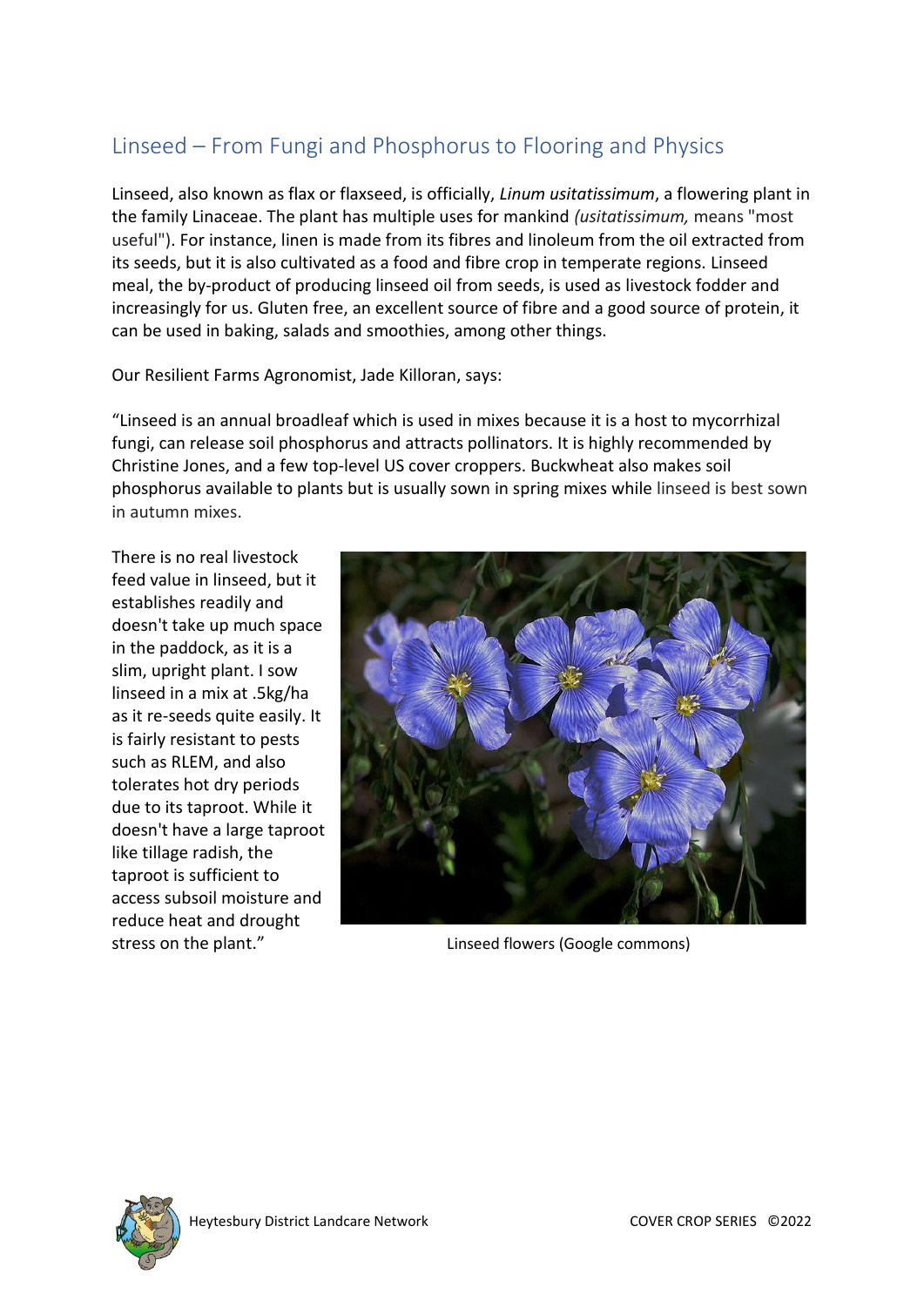# Linseed – From Fungi and Phosphorus to Flooring and Physics

Linseed, also known as flax or flaxseed, is officially, *Linum usitatissimum*, a flowering plant in the family Linaceae. The plant has multiple uses for mankind *(usitatissimum,* means "most useful"). For instance, linen is made from its fibres and linoleum from the oil extracted from its seeds, but it is also cultivated as a food and fibre crop in temperate regions. Linseed meal, the by-product of producing linseed oil from seeds, is used as livestock fodder and increasingly for us. Gluten free, an excellent source of fibre and a good source of protein, it can be used in baking, salads and smoothies, among other things.

Our Resilient Farms Agronomist, Jade Killoran, says:

"Linseed is an annual broadleaf which is used in mixes because it is a host to mycorrhizal fungi, can release soil phosphorus and attracts pollinators. It is highly recommended by Christine Jones, and a few top-level US cover croppers. Buckwheat also makes soil phosphorus available to plants but is usually sown in spring mixes while linseed is best sown in autumn mixes.

There is no real livestock feed value in linseed, but it establishes readily and doesn't take up much space in the paddock, as it is a slim, upright plant. I sow linseed in a mix at .5kg/ha as it re-seeds quite easily. It is fairly resistant to pests such as RLEM, and also tolerates hot dry periods due to its taproot. While it doesn't have a large taproot like tillage radish, the taproot is sufficient to access subsoil moisture and reduce heat and drought



stress on the plant." The stress on the plant." The stress on the plant." Inseed flowers (Google commons)

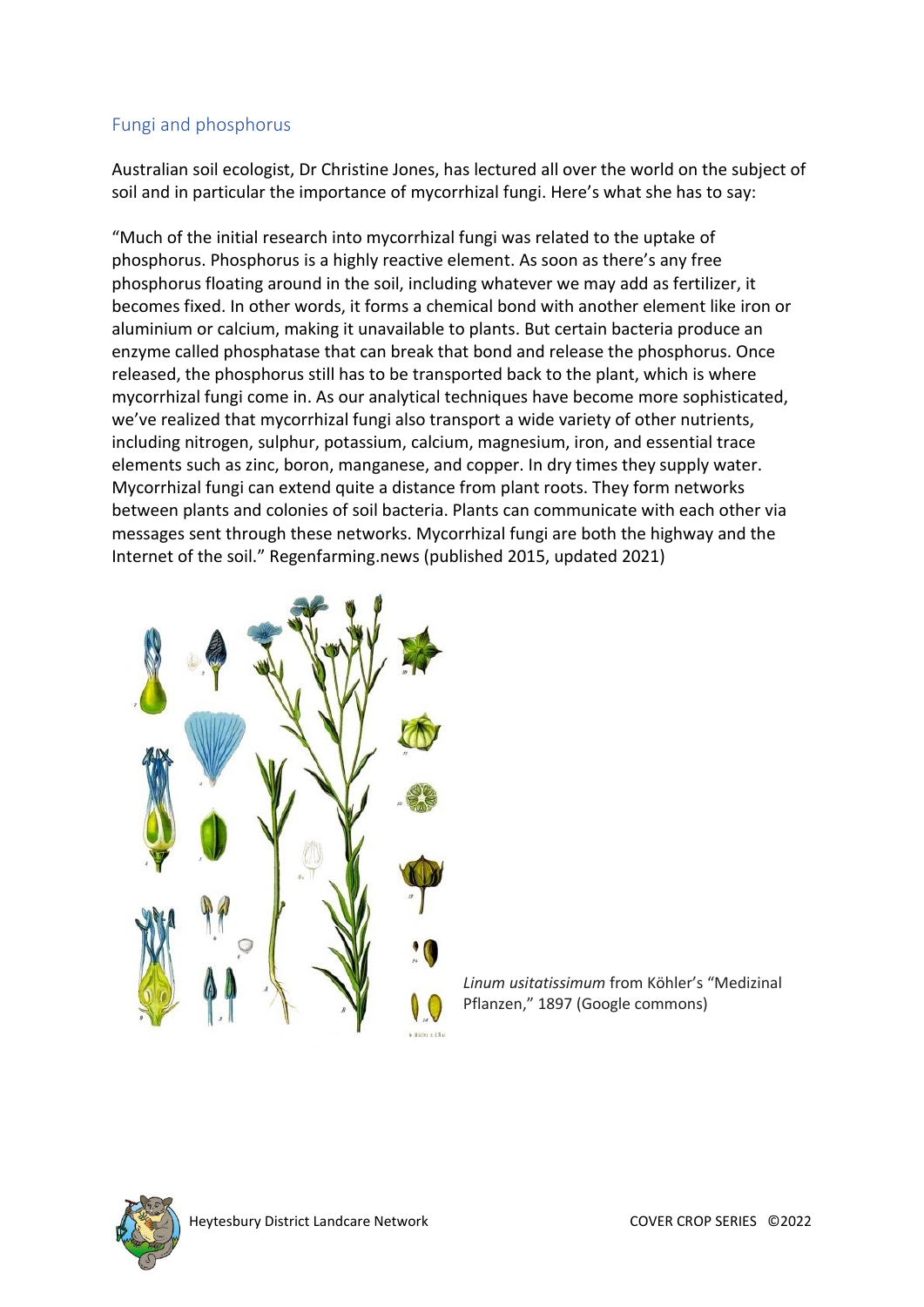## Fungi and phosphorus

Australian soil ecologist, Dr Christine Jones, has lectured all over the world on the subject of soil and in particular the importance of mycorrhizal fungi. Here's what she has to say:

"Much of the initial research into mycorrhizal fungi was related to the uptake of phosphorus. Phosphorus is a highly reactive element. As soon as there's any free phosphorus floating around in the soil, including whatever we may add as fertilizer, it becomes fixed. In other words, it forms a chemical bond with another element like iron or aluminium or calcium, making it unavailable to plants. But certain bacteria produce an enzyme called phosphatase that can break that bond and release the phosphorus. Once released, the phosphorus still has to be transported back to the plant, which is where mycorrhizal fungi come in. As our analytical techniques have become more sophisticated, we've realized that mycorrhizal fungi also transport a wide variety of other nutrients, including nitrogen, sulphur, potassium, calcium, magnesium, iron, and essential trace elements such as zinc, boron, manganese, and copper. In dry times they supply water. Mycorrhizal fungi can extend quite a distance from plant roots. They form networks between plants and colonies of soil bacteria. Plants can communicate with each other via messages sent through these networks. Mycorrhizal fungi are both the highway and the Internet of the soil." Regenfarming.news (published 2015, updated 2021)



*Linum usitatissimum* from Köhler's "Medizinal Pflanzen," 1897 (Google commons)

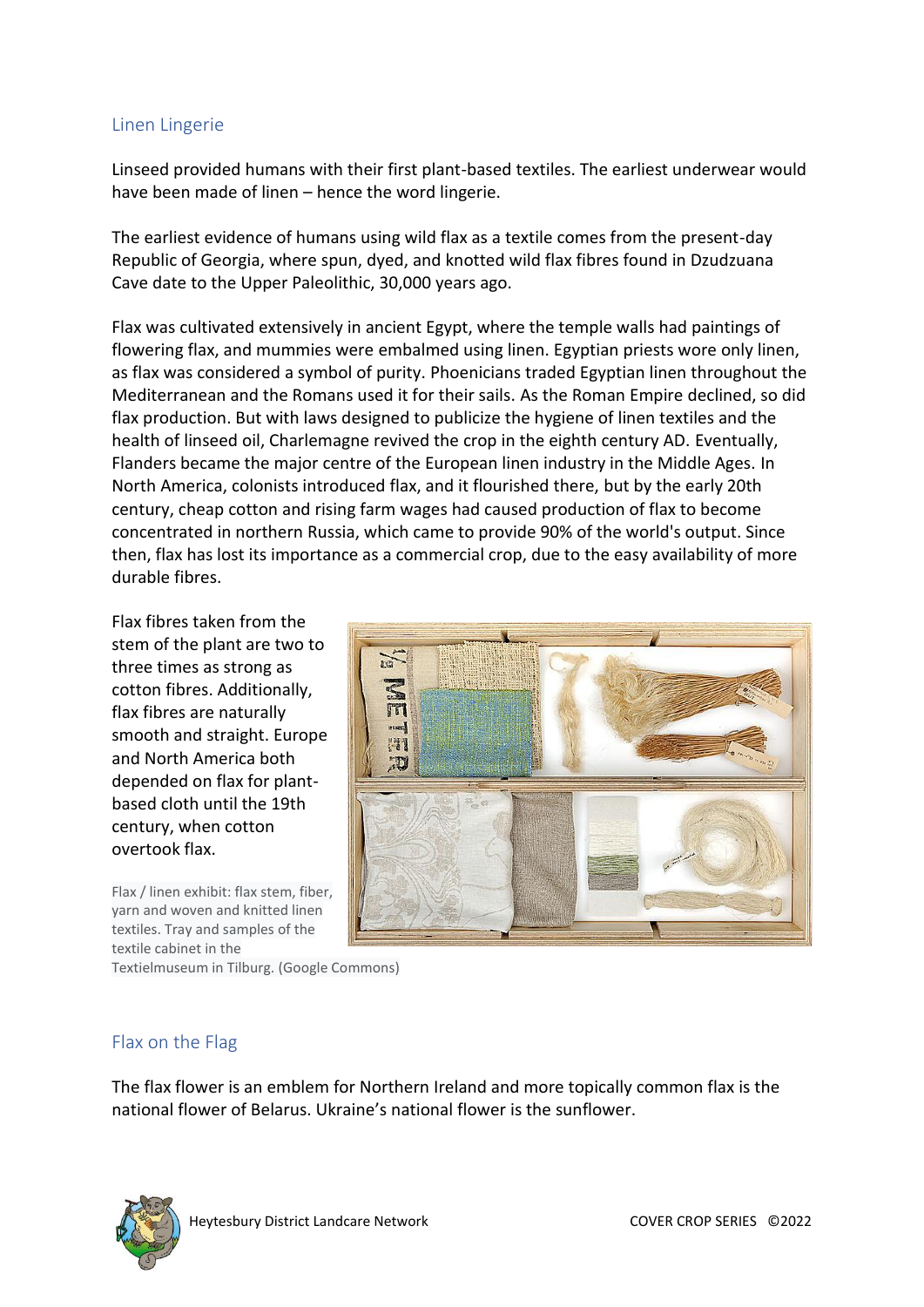### Linen Lingerie

Linseed provided humans with their first plant-based textiles. The earliest underwear would have been made of linen – hence the word lingerie.

The earliest evidence of humans using wild flax as a textile comes from the present-day Republic of Georgia, where spun, dyed, and knotted wild flax fibres found in Dzudzuana Cave date to the Upper Paleolithic, 30,000 years ago.

Flax was cultivated extensively in ancient Egypt, where the temple walls had paintings of flowering flax, and mummies were embalmed using linen. Egyptian priests wore only linen, as flax was considered a symbol of purity. Phoenicians traded Egyptian linen throughout the Mediterranean and the Romans used it for their sails. As the Roman Empire declined, so did flax production. But with laws designed to publicize the hygiene of linen textiles and the health of linseed oil, Charlemagne revived the crop in the eighth century AD. Eventually, Flanders became the major centre of the European linen industry in the Middle Ages. In North America, colonists introduced flax, and it flourished there, but by the early 20th century, cheap cotton and rising farm wages had caused production of flax to become concentrated in northern Russia, which came to provide 90% of the world's output. Since then, flax has lost its importance as a commercial crop, due to the easy availability of more durable fibres.

Flax fibres taken from the stem of the plant are two to three times as strong as cotton fibres. Additionally, flax fibres are naturally smooth and straight. Europe and North America both depended on flax for plantbased cloth until the 19th century, when cotton overtook flax.

Flax / linen exhibit: flax stem, fiber, yarn and woven and knitted linen textiles. Tray and samples of the textile cabinet in the



Textielmuseum in Tilburg. (Google Commons)

### Flax on the Flag

The flax flower is an emblem for Northern Ireland and more topically common flax is the national flower of Belarus. Ukraine's national flower is the sunflower.